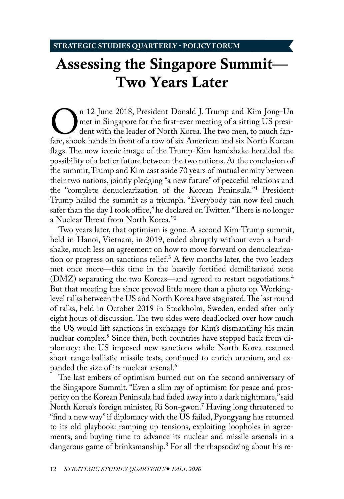## <span id="page-0-0"></span>Assessing the Singapore Summit— Two Years Later

On 12 June 2018, President Donald J. Trump and Kim Jong-Un met in Singapore for the first-ever meeting of a sitting US president with the leader of North Korea. The two men, to much fan-<br>fare, shook hands in front of a row met in Singapore for the first-ever meeting of a sitting US president with the leader of North Korea. The two men, to much fanflags. The now iconic image of the Trump-Kim handshake heralded the possibility of a better future between the two nations. At the conclusion of the summit, Trump and Kim cast aside 70 years of mutual enmity between their two nations, jointly pledging "a new future" of peaceful relations and the "complete denuclearization of the Korean Peninsula.["1](#page-7-0) President Trump hailed the summit as a triumph. "Everybody can now feel much safer than the day I took office," he declared on Twitter. "There is no longer a Nuclear Threat from North Korea."[2](#page-7-0)

Two years later, that optimism is gone. A second Kim-Trump summit, held in Hanoi, Vietnam, in 2019, ended abruptly without even a handshake, much less an agreement on how to move forward on denuclearization or progress on sanctions relief.<sup>3</sup>  $A$  few months later, the two leaders met once more—this time in the heavily fortified demilitarized zone (DMZ) separating the two Koreas—and agreed to restart negotiations.[4](#page-7-0) But that meeting has since proved little more than a photo op. Workinglevel talks between the US and North Korea have stagnated. The last round of talks, held in October 2019 in Stockholm, Sweden, ended after only eight hours of discussion. The two sides were deadlocked over how much the US would lift sanctions in exchange for Kim's dismantling his main nuclear complex.<sup>[5](#page-7-0)</sup> Since then, both countries have stepped back from diplomacy: the US imposed new sanctions while North Korea resumed short-range ballistic missile tests, continued to enrich uranium, and expanded the size of its nuclear arsenal[.6](#page-7-0)

The last embers of optimism burned out on the second anniversary of the Singapore Summit. "Even a slim ray of optimism for peace and prosperity on the Korean Peninsula had faded away into a dark nightmare," said North Korea's foreign minister, Ri Son-gwon.[7](#page-7-0) Having long threatened to "find a new way" if diplomacy with the US failed, Pyongyang has returned to its old playbook: ramping up tensions, exploiting loopholes in agreements, and buying time to advance its nuclear and missile arsenals in a dangerous game of brinksmanship[.8](#page-7-0) For all the rhapsodizing about his re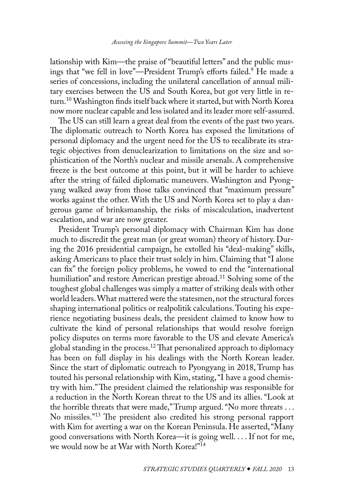<span id="page-1-0"></span>lationship with Kim—the praise of "beautiful letters" and the public musings that "we fell in love"—President Trump's efforts failed[.9](#page-7-0) He made a series of concessions, including the unilateral cancellation of annual military exercises between the US and South Korea, but got very little in return[.10](#page-7-0) Washington finds itself back where it started, but with North Korea now more nuclear capable and less isolated and its leader more self-assured.

The US can still learn a great deal from the events of the past two years. The diplomatic outreach to North Korea has exposed the limitations of personal diplomacy and the urgent need for the US to recalibrate its strategic objectives from denuclearization to limitations on the size and sophistication of the North's nuclear and missile arsenals. A comprehensive freeze is the best outcome at this point, but it will be harder to achieve after the string of failed diplomatic maneuvers. Washington and Pyongyang walked away from those talks convinced that "maximum pressure" works against the other. With the US and North Korea set to play a dangerous game of brinksmanship, the risks of miscalculation, inadvertent escalation, and war are now greater.

President Trump's personal diplomacy with Chairman Kim has done much to discredit the great man (or great woman) theory of history. During the 2016 presidential campaign, he extolled his "deal-making" skills, asking Americans to place their trust solely in him. Claiming that "I alone can fix" the foreign policy problems, he vowed to end the "international humiliation" and restore American prestige abroad.<sup>11</sup> Solving some of the toughest global challenges was simply a matter of striking deals with other world leaders. What mattered were the statesmen, not the structural forces shaping international politics or realpolitik calculations. Touting his experience negotiating business deals, the president claimed to know how to cultivate the kind of personal relationships that would resolve foreign policy disputes on terms more favorable to the US and elevate America's global standing in the process[.12](#page-7-0) That personalized approach to diplomacy has been on full display in his dealings with the North Korean leader. Since the start of diplomatic outreach to Pyongyang in 2018, Trump has touted his personal relationship with Kim, stating, "I have a good chemistry with him." The president claimed the relationship was responsible for a reduction in the North Korean threat to the US and its allies. "Look at the horrible threats that were made," Trump argued. "No more threats . . . No missiles."[13](#page-7-0) The president also credited his strong personal rapport with Kim for averting a war on the Korean Peninsula. He asserted, "Many good conversations with North Korea—it is going well. . . . If not for me, we would now be at War with North Korea!["14](#page-7-0)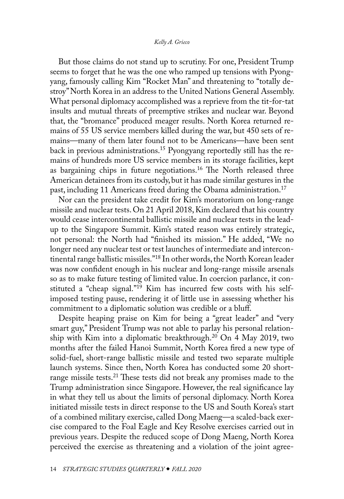<span id="page-2-0"></span>But those claims do not stand up to scrutiny. For one, President Trump seems to forget that he was the one who ramped up tensions with Pyongyang, famously calling Kim "Rocket Man" and threatening to "totally destroy" North Korea in an address to the United Nations General Assembly. What personal diplomacy accomplished was a reprieve from the tit-for-tat insults and mutual threats of preemptive strikes and nuclear war. Beyond that, the "bromance" produced meager results. North Korea returned remains of 55 US service members killed during the war, but 450 sets of remains—many of them later found not to be Americans—have been sent back in previous administrations[.15](#page-7-0) Pyongyang reportedly still has the remains of hundreds more US service members in its storage facilities, kept as bargaining chips in future negotiations.<sup>16</sup> The North released three American detainees from its custody, but it has made similar gestures in the past, including 11 Americans freed during the Obama administration.<sup>[17](#page-8-0)</sup>

Nor can the president take credit for Kim's moratorium on long-range missile and nuclear tests. On 21 April 2018, Kim declared that his country would cease intercontinental ballistic missile and nuclear tests in the leadup to the Singapore Summit. Kim's stated reason was entirely strategic, not personal: the North had "finished its mission." He added, "We no longer need any nuclear test or test launches of intermediate and intercontinental range ballistic missiles.["18](#page-8-0) In other words, the North Korean leader was now confident enough in his nuclear and long-range missile arsenals so as to make future testing of limited value. In coercion parlance, it constituted a "cheap signal."[19](#page-8-0) Kim has incurred few costs with his selfimposed testing pause, rendering it of little use in assessing whether his commitment to a diplomatic solution was credible or a bluff.

Despite heaping praise on Kim for being a "great leader" and "very smart guy," President Trump was not able to parlay his personal relationship with Kim into a diplomatic breakthrough.[20](#page-8-0) On 4 May 2019, two months after the failed Hanoi Summit, North Korea fired a new type of solid-fuel, short-range ballistic missile and tested two separate multiple launch systems. Since then, North Korea has conducted some 20 shortrange missile tests.<sup>21</sup> These tests did not break any promises made to the Trump administration since Singapore. However, the real significance lay in what they tell us about the limits of personal diplomacy. North Korea initiated missile tests in direct response to the US and South Korea's start of a combined military exercise, called Dong Maeng—a scaled-back exercise compared to the Foal Eagle and Key Resolve exercises carried out in previous years. Despite the reduced scope of Dong Maeng, North Korea perceived the exercise as threatening and a violation of the joint agree-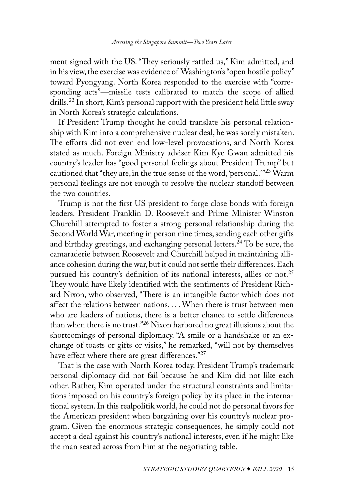<span id="page-3-0"></span>ment signed with the US. "They seriously rattled us," Kim admitted, and in his view, the exercise was evidence of Washington's "open hostile policy" toward Pyongyang. North Korea responded to the exercise with "corresponding acts"—missile tests calibrated to match the scope of allied drills[.22](#page-8-0) In short, Kim's personal rapport with the president held little sway in North Korea's strategic calculations.

If President Trump thought he could translate his personal relationship with Kim into a comprehensive nuclear deal, he was sorely mistaken. The efforts did not even end low-level provocations, and North Korea stated as much. Foreign Ministry adviser Kim Kye Gwan admitted his country's leader has "good personal feelings about President Trump" but cautioned that "they are, in the true sense of the word, 'personal.'"<sup>[23](#page-8-0)</sup> Warm personal feelings are not enough to resolve the nuclear standoff between the two countries.

Trump is not the first US president to forge close bonds with foreign leaders. President Franklin D. Roosevelt and Prime Minister Winston Churchill attempted to foster a strong personal relationship during the Second World War, meeting in person nine times, sending each other gifts and birthday greetings, and exchanging personal letters.<sup>24</sup> To be sure, the camaraderie between Roosevelt and Churchill helped in maintaining alliance cohesion during the war, but it could not settle their differences. Each pursued his country's definition of its national interests, allies or not.<sup>25</sup> They would have likely identified with the sentiments of President Richard Nixon, who observed, "There is an intangible factor which does not affect the relations between nations. . . . When there is trust between men who are leaders of nations, there is a better chance to settle differences than when there is no trust."[26](#page-8-0) Nixon harbored no great illusions about the shortcomings of personal diplomacy. "A smile or a handshake or an exchange of toasts or gifts or visits," he remarked, "will not by themselves have effect where there are great differences."[27](#page-8-0)

That is the case with North Korea today. President Trump's trademark personal diplomacy did not fail because he and Kim did not like each other. Rather, Kim operated under the structural constraints and limitations imposed on his country's foreign policy by its place in the international system. In this realpolitik world, he could not do personal favors for the American president when bargaining over his country's nuclear program. Given the enormous strategic consequences, he simply could not accept a deal against his country's national interests, even if he might like the man seated across from him at the negotiating table.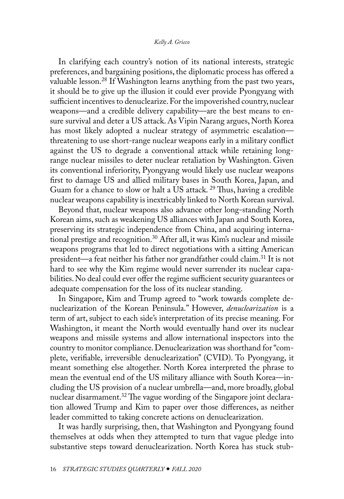<span id="page-4-0"></span>In clarifying each country's notion of its national interests, strategic preferences, and bargaining positions, the diplomatic process has offered a valuable lesson.[28](#page-8-0) If Washington learns anything from the past two years, it should be to give up the illusion it could ever provide Pyongyang with sufficient incentives to denuclearize. For the impoverished country, nuclear weapons—and a credible delivery capability—are the best means to ensure survival and deter a US attack. As Vipin Narang argues, North Korea has most likely adopted a nuclear strategy of asymmetric escalation threatening to use short-range nuclear weapons early in a military conflict against the US to degrade a conventional attack while retaining longrange nuclear missiles to deter nuclear retaliation by Washington. Given its conventional inferiority, Pyongyang would likely use nuclear weapons first to damage US and allied military bases in South Korea, Japan, and Guam for a chance to slow or halt a US attack. [29](#page-8-0) Thus, having a credible nuclear weapons capability is inextricably linked to North Korean survival.

Beyond that, nuclear weapons also advance other long-standing North Korean aims, such as weakening US alliances with Japan and South Korea, preserving its strategic independence from China, and acquiring international prestige and recognition.<sup>30</sup> After all, it was Kim's nuclear and missile weapons programs that led to direct negotiations with a sitting American president—a feat neither his father nor grandfather could claim.<sup>31</sup> It is not hard to see why the Kim regime would never surrender its nuclear capabilities. No deal could ever offer the regime sufficient security guarantees or adequate compensation for the loss of its nuclear standing.

In Singapore, Kim and Trump agreed to "work towards complete denuclearization of the Korean Peninsula." However, *denuclearization* is a term of art, subject to each side's interpretation of its precise meaning. For Washington, it meant the North would eventually hand over its nuclear weapons and missile systems and allow international inspectors into the country to monitor compliance. Denuclearization was shorthand for "complete, verifiable, irreversible denuclearization" (CVID). To Pyongyang, it meant something else altogether. North Korea interpreted the phrase to mean the eventual end of the US military alliance with South Korea—including the US provision of a nuclear umbrella—and, more broadly, global nuclear disarmament.<sup>[32](#page-9-0)</sup> The vague wording of the Singapore joint declaration allowed Trump and Kim to paper over those differences, as neither leader committed to taking concrete actions on denuclearization.

It was hardly surprising, then, that Washington and Pyongyang found themselves at odds when they attempted to turn that vague pledge into substantive steps toward denuclearization. North Korea has stuck stub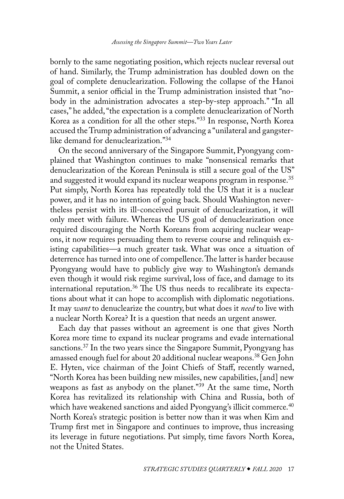<span id="page-5-0"></span>bornly to the same negotiating position, which rejects nuclear reversal out of hand. Similarly, the Trump administration has doubled down on the goal of complete denuclearization. Following the collapse of the Hanoi Summit, a senior official in the Trump administration insisted that "nobody in the administration advocates a step-by-step approach." "In all cases," he added, "the expectation is a complete denuclearization of North Korea as a condition for all the other steps."[33](#page-9-0) In response, North Korea accused the Trump administration of advancing a "unilateral and gangsterlike demand for denuclearization.["34](#page-9-0)

On the second anniversary of the Singapore Summit, Pyongyang complained that Washington continues to make "nonsensical remarks that denuclearization of the Korean Peninsula is still a secure goal of the US" and suggested it would expand its nuclear weapons program in response.<sup>35</sup> Put simply, North Korea has repeatedly told the US that it is a nuclear power, and it has no intention of going back. Should Washington nevertheless persist with its ill-conceived pursuit of denuclearization, it will only meet with failure. Whereas the US goal of denuclearization once required discouraging the North Koreans from acquiring nuclear weapons, it now requires persuading them to reverse course and relinquish existing capabilities—a much greater task. What was once a situation of deterrence has turned into one of compellence. The latter is harder because Pyongyang would have to publicly give way to Washington's demands even though it would risk regime survival, loss of face, and damage to its international reputation.<sup>[36](#page-9-0)</sup> The US thus needs to recalibrate its expectations about what it can hope to accomplish with diplomatic negotiations. It may *want* to denuclearize the country, but what does it *need* to live with a nuclear North Korea? It is a question that needs an urgent answer.

Each day that passes without an agreement is one that gives North Korea more time to expand its nuclear programs and evade international sanctions.[37](#page-9-0) In the two years since the Singapore Summit, Pyongyang has amassed enough fuel for about 20 additional nuclear weapons.<sup>38</sup> Gen John E. Hyten, vice chairman of the Joint Chiefs of Staff, recently warned, "North Korea has been building new missiles, new capabilities, [and] new weapons as fast as anybody on the planet."[39](#page-9-0) At the same time, North Korea has revitalized its relationship with China and Russia, both of which have weakened sanctions and aided Pyongyang's illicit commerce.<sup>40</sup> North Korea's strategic position is better now than it was when Kim and Trump first met in Singapore and continues to improve, thus increasing its leverage in future negotiations. Put simply, time favors North Korea, not the United States.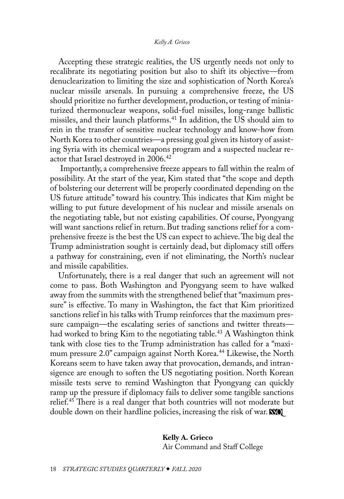<span id="page-6-0"></span>Accepting these strategic realities, the US urgently needs not only to recalibrate its negotiating position but also to shift its objective—from denuclearization to limiting the size and sophistication of North Korea's nuclear missile arsenals. In pursuing a comprehensive freeze, the US should prioritize no further development, production, or testing of miniaturized thermonuclear weapons, solid-fuel missiles, long-range ballistic missiles, and their launch platforms.<sup>41</sup> In addition, the US should aim to rein in the transfer of sensitive nuclear technology and know-how from North Korea to other countries—a pressing goal given its history of assisting Syria with its chemical weapons program and a suspected nuclear re-actor that Israel destroyed in 2006.<sup>[42](#page-9-0)</sup>

 Importantly, a comprehensive freeze appears to fall within the realm of possibility. At the start of the year, Kim stated that "the scope and depth of bolstering our deterrent will be properly coordinated depending on the US future attitude" toward his country. This indicates that Kim might be willing to put future development of his nuclear and missile arsenals on the negotiating table, but not existing capabilities. Of course, Pyongyang will want sanctions relief in return. But trading sanctions relief for a comprehensive freeze is the best the US can expect to achieve. The big deal the Trump administration sought is certainly dead, but diplomacy still offers a pathway for constraining, even if not eliminating, the North's nuclear and missile capabilities.

Unfortunately, there is a real danger that such an agreement will not come to pass. Both Washington and Pyongyang seem to have walked away from the summits with the strengthened belief that "maximum pressure" is effective. To many in Washington, the fact that Kim prioritized sanctions relief in his talks with Trump reinforces that the maximum pressure campaign—the escalating series of sanctions and twitter threats had worked to bring Kim to the negotiating table.<sup>43</sup> A Washington think tank with close ties to the Trump administration has called for a "maximum pressure 2.0" campaign against North Korea.<sup>44</sup> Likewise, the North Koreans seem to have taken away that provocation, demands, and intransigence are enough to soften the US negotiating position. North Korean missile tests serve to remind Washington that Pyongyang can quickly ramp up the pressure if diplomacy fails to deliver some tangible sanctions relief.<sup>45</sup> There is a real danger that both countries will not moderate but double down on their hardline policies, increasing the risk of war. **NO** 

> **Kelly A. Grieco** Air Command and Staff College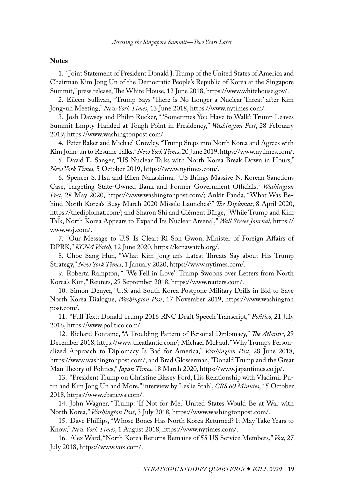## <span id="page-7-0"></span>**Notes**

[1](#page-0-0). "Joint Statement of President Donald J. Trump of the United States of America and Chairman Kim Jong Un of the Democratic People's Republic of Korea at the Singapore Summit," press release, The White House, 12 June 2018, [https://www.whitehouse.gov/.](https://www.whitehouse.gov/briefings-statements/joint-statement-president-donald-j-trump-united-states-america-chairman-kim-jong-un-democratic-peoples-republic-korea-singapore-summit/)

[2](#page-0-0). Eileen Sullivan, "Trump Says 'There is No Longer a Nuclear Threat' after Kim Jong-un Meeting," *New York Times*, 13 June 2018, [https://www.nytimes.com/.](https://www.nytimes.com/2018/06/13/us/politics/trump-north-korea-nuclear-threat-.html)

[3](#page-0-0). Josh Dawsey and Philip Rucker, " 'Sometimes You Have to Walk': Trump Leaves Summit Empty-Handed at Tough Point in Presidency," *Washington Post*, 28 February 2019, [https://www.washingtonpost.com/](https://www.washingtonpost.com/politics/sometimes-you-have-to-walk-trump-leaves-summit-empty-handed-at-tough-point-in-presidency/2019/02/28/b7aafd9c-3b46-11e9-a06c-3ec8ed509d15_story.html).

[4](#page-0-0). Peter Baker and Michael Crowley, "Trump Steps into North Korea and Agrees with Kim John-un to Resume Talks," *New York Times*, 20 June 2019, [https://www.nytimes.com/](https://www.nytimes.com/2019/06/30/world/asia/trump-north-korea-dmz.html).

[5](#page-0-0). David E. Sanger, "US Nuclear Talks with North Korea Break Down in Hours," *New York Times,* 5 October 2019, [https://www.nytimes.com/.](https://www.nytimes.com/2019/10/05/us/politics/trump-north-korea-nuclear.html)

[6](#page-0-0). Spencer S. Hsu and Ellen Nakashima, "US Brings Massive N. Korean Sanctions Case, Targeting State-Owned Bank and Former Government Officials," *Washington Post*, 28 May 2020, [https://www.washingtonpost.com/](https://www.washingtonpost.com/local/legal-issues/us-brings-largest-ever-n-korean-sanctions-case-targeting-state-owned-bank-and-senior-government-officials/2020/05/28/3b23f616-a02b-11ea-b5c9-570a91917d8d_story.html); Ankit Panda, "What Was Behind North Korea's Busy March 2020 Missile Launches?" *The Diplomat*, 8 April 2020, [https://thediplomat.com/](https://thediplomat.com/2020/04/what-was-behind-north-koreas-busy-march-2020-missile-launches/); and Sharon Shi and Clément Bürge, "While Trump and Kim Talk, North Korea Appears to Expand Its Nuclear Arsenal," *Wall Street Journal*, [https://](https://www.wsj.com/articles/while-trump-and-kim-talk-north-korea-appears-to-expand-its-nuclear-arsenal-11564059627) [www.wsj.com/](https://www.wsj.com/articles/while-trump-and-kim-talk-north-korea-appears-to-expand-its-nuclear-arsenal-11564059627).

[7](#page-0-0). "Our Message to U.S. Is Clear: Ri Son Gwon, Minister of Foreign Affairs of DPRK," *KCNA Watch*, 12 June 2020, [https://kcnawatch.org/](https://kcnawatch.org/newstream/1591940601-72980278/our-message-to-u-s-is-clear-ri-son-gwon-minister-of-foreign-affairs-of-dprk/).

[8](#page-0-0). Choe Sang-Hun, "What Kim Jong-un's Latest Threats Say about His Trump Strategy," *New York Times*, 1 January 2020, [https://www.nytimes.com/](https://www.nytimes.com/2020/01/01/world/asia/north-korea-kim-trump.html).

[9](#page-1-0). Roberta Rampton, " 'We Fell in Love': Trump Swoons over Letters from North Korea's Kim," Reuters, 29 September 2018, [https://www.reuters.com/](https://www.reuters.com/article/us-northkorea-usa-trump/we-fell-in-love-trump-swoons-over-letters-from-north-koreas-kim-idUSKCN1MA03Q).

[10](#page-1-0). Simon Denyer, "U.S. and South Korea Postpone Military Drills in Bid to Save North Korea Dialogue, *Washington Post*, 17 November 2019, [https://www.washington](https://www.washingtonpost.com/world/us-and-south-korea-postpone-military-drills-in-bid-to-save-north-korea-dialogue/2019/11/17/4b95b74a-0900-11ea-b388-434b5c1d7dd8_story.html) [post.com/](https://www.washingtonpost.com/world/us-and-south-korea-postpone-military-drills-in-bid-to-save-north-korea-dialogue/2019/11/17/4b95b74a-0900-11ea-b388-434b5c1d7dd8_story.html).

[11](#page-1-0). "Full Text: Donald Trump 2016 RNC Draft Speech Transcript," *Politico*, 21 July 2016, [https://www.politico.com/.](https://www.politico.com/story/2016/07/full-transcript-donald-trump-nomination-acceptance-speech-at-rnc-225974)

[12](#page-1-0). Richard Fontaine, "A Troubling Pattern of Personal Diplomacy," *The Atlantic*, 29 December 2018, [https://www.theatlantic.com/](https://www.theatlantic.com/ideas/archive/2018/12/trumps-pattern-personalized-diplomacy-upended-syria/579145/); Michael McFaul, "Why Trump's Personalized Approach to Diplomacy Is Bad for America," *Washington Post*, 28 June 2018, [https://www.washingtonpost.com/](https://www.washingtonpost.com/news/global-opinions/wp/2018/06/28/why-trumps-personalized-approach-to-diplomacy-is-bad-for-america/); and Brad Glosserman, "Donald Trump and the Great Man Theory of Politics," *Japan Times*, 18 March 2020, [https://www.japantimes.co.jp/.](https://www.japantimes.co.jp/opinion/2020/03/18/commentary/world-commentary/donald-trump-great-man-theory-politics/)

[13](#page-1-0). "President Trump on Christine Blasey Ford, His Relationship with Vladimir Putin and Kim Jong Un and More," interview by Leslie Stahl, *CBS 60 Minutes*, 15 October 2018, [https://www.cbsnews.com/.](https://www.cbsnews.com/news/donald-trump-full-interview-60-minutes-transcript-lesley-stahl-2018-10-14/)

[14](#page-1-0). John Wagner, "Trump: 'If Not for Me,' United States Would Be at War with North Korea," *Washington Post*, 3 July 2018, [https://www.washingtonpost.com/.](https://www.washingtonpost.com/politics/trump-if-not-for-me-united-states-would-be-at-war-with-north-korea/2018/07/03/aead7a64-7ddf-11e8-b660-4d0f9f0351f1_story.html)

[15](#page-2-0). Dave Phillips, "Whose Bones Has North Korea Returned? It May Take Years to Know," *New York Times*, 1 August 2018, [https://www.nytimes.com/](https://www.nytimes.com/2018/08/01/us/north-korea-mia-remains.html).

[16](#page-2-0). Alex Ward, "North Korea Returns Remains of 55 US Service Members," *Vox*, 27 July 2018, [https://www.vox.com/](https://www.vox.com/2018/7/27/17621448/north-korea-trump-remains-55-war).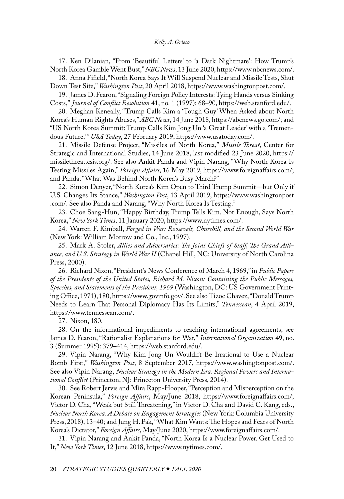## *Kelly A. Grieco*

<span id="page-8-0"></span>[17](#page-2-0). Ken Dilanian, "From 'Beautiful Letters' to 'a Dark Nightmare': How Trump's North Korea Gamble Went Bust," *NBC News*, 13 June 2020, [https://www.nbcnews.com/](https://www.nbcnews.com/news/north-korea/beautiful-letters-dark-nightmare-how-trump-s-north-korea-gamble-n1230866).

[18](#page-2-0). Anna Fifield, "North Korea Says It Will Suspend Nuclear and Missile Tests, Shut Down Test Site," *Washington Post*, 20 April 2018, [https://www.washingtonpost.com/.](https://www.washingtonpost.com/world/north-korean-leader-suspends-nuclear-and-missile-tests-shuts-down-test-site/2018/04/20/71ff2eea-44e7-11e8-baaf-8b3c5a3da888_story.html)

[19](#page-2-0). James D. Fearon, "Signaling Foreign Policy Interests: Tying Hands versus Sinking Costs," *Journal of Conflict Resolution* 41, no. 1 (1997): 68–90, [https://web.stanford.edu/.](https://web.stanford.edu/group/fearon-research/cgi-bin/wordpress/wp-content/uploads/2013/10/Signaling-Foreign-Policy-Interests-Tying-Hands-versus-Sinking-Costs.pdf)

[20](#page-2-0). Meghan Keneally, "Trump Calls Kim a 'Tough Guy' When Asked about North Korea's Human Rights Abuses," *ABC News*, 14 June 2018, [https://abcnews.go.com/;](https://abcnews.go.com/International/trump-calls-kim-tough-guy-asked-north-korean/story?id=55891550) and "US North Korea Summit: Trump Calls Kim Jong Un 'a Great Leader' with a 'Tremendous Future," USA Today, 27 February 2019, [https://www.usatoday.com/](https://www.usatoday.com/videos/news/politics/2019/02/27/https-livestream-accounts-16944724-events-8581279-player-width-640-height-360-enableinfoandactiv/3001674002/).

[21](#page-2-0). Missile Defense Project, "Missiles of North Korea," *Missile Threat*, Center for Strategic and International Studies, 14 June 2018, last modified 23 June 2020, [https://](https://missilethreat.csis.org/country/dprk/) [missilethreat.csis.org/.](https://missilethreat.csis.org/country/dprk/) See also Ankit Panda and Vipin Narang, "Why North Korea Is Testing Missiles Again," *Foreign Affairs*, 16 May 2019, [https://www.foreignaffairs.com/;](https://www.foreignaffairs.com/articles/north-korea/2019-05-16/why-north-korea-testing-missiles-again) and Panda, "What Was Behind North Korea's Busy March?"

[22](#page-3-0). Simon Denyer, "North Korea's Kim Open to Third Trump Summit—but Only if U.S. Changes Its Stance," *Washington Post*, 13 April 2019, [https://www.washingtonpost](https://www.washingtonpost.com/world/north-koreas-kim-open-to-third-trump-summit--but-only-if-us-changes-its-stance/2019/04/13/a24b90be-5db6-11e9-b8e3-b03311fbbbfe_story.html) [.com/](https://www.washingtonpost.com/world/north-koreas-kim-open-to-third-trump-summit--but-only-if-us-changes-its-stance/2019/04/13/a24b90be-5db6-11e9-b8e3-b03311fbbbfe_story.html). See also Panda and Narang, "Why North Korea Is Testing."

[23](#page-3-0). Choe Sang-Hun, "Happy Birthday, Trump Tells Kim. Not Enough, Says North Korea," *New York Times*, 11 January 2020, [https://www.nytimes.com/](https://www.nytimes.com/2020/01/11/world/asia/trump-kim-jong-un-birthday.html).

[24](#page-3-0). Warren F. Kimball, *Forged in War: Roosevelt, Churchill, and the Second World War*  (New York: William Morrow and Co., Inc., 1997).

[25](#page-3-0). Mark A. Stoler, *Allies and Adversaries: The Joint Chiefs of Staff, The Grand Alliance, and U.S. Strategy in World War II* (Chapel Hill, NC: University of North Carolina Press, 2000).

[26](#page-3-0). Richard Nixon, "President's News Conference of March 4, 1969," in *Public Papers of the Presidents of the United States, Richard M. Nixon: Containing the Public Messages, Speeches, and Statements of the President, 1969* (Washington, DC: US Government Printing Office, 1971), 180, [https://www.govinfo.gov/.](https://www.govinfo.gov/content/pkg/PPP-1969-book1/pdf/PPP-1969-book1.pdf) See also Tizoc Chavez, "Donald Trump Needs to Learn That Personal Diplomacy Has Its Limits," *Tennessean*, 4 April 2019, [https://www.tennessean.com/.](https://www.tennessean.com/story/opinion/2019/04/04/trumps-north-korean-diplomacy-has-limits/3215430002/)

[27](#page-3-0). Nixon, 180.

[28](#page-4-0). On the informational impediments to reaching international agreements, see James D. Fearon, "Rationalist Explanations for War," *International Organization* 49, no. 3 (Summer 1995): 379–414, [https://web.stanford.edu/](https://web.stanford.edu/group/fearon-research/cgi-bin/wordpress/wp-content/uploads/2013/10/Rationalist-Explanations-for-War.pdf).

[29](#page-4-0). Vipin Narang, "Why Kim Jong Un Wouldn't Be Irrational to Use a Nuclear Bomb First," *Washington Post*, 8 September 2017, [https://www.washingtonpost.com/](https://www.washingtonpost.com/outlook/why-kim-jong-un-wouldnt-be-irrational-to-use-a-nuclear-bomb-first/2017/09/08/a9d36ca4-934f-11e7-aace-04b862b2b3f3_story.html). See also Vipin Narang, *Nuclear Strategy in the Modern Era: Regional Powers and International Conflict* (Princeton, NJ: Princeton University Press, 2014).

[30](#page-4-0). See Robert Jervis and Mira Rapp-Hooper, "Perception and Misperception on the Korean Peninsula," *Foreign Affairs*, May/June 2018, [https://www.foreignaffairs.com/;](https://www.foreignaffairs.com/articles/north-korea/2018-04-05/perception-and-misperception-korean-peninsula) Victor D. Cha, "Weak but Still Threatening," in Victor D. Cha and David C. Kang, eds., *Nuclear North Korea: A Debate on Engagement Strategies* (New York: Columbia University Press, 2018), 13–40; and Jung H. Pak, "What Kim Wants: The Hopes and Fears of North Korea's Dictator," *Foreign Affairs*, May/June 2020, [https://www.foreignaffairs.com/.](https://www.foreignaffairs.com/articles/north-korea/2020-04-13/what-kim-wants)

[31](#page-4-0). Vipin Narang and Ankit Panda, "North Korea Is a Nuclear Power. Get Used to It," *New York Times*, 12 June 2018, [https://www.nytimes.com/.](https://www.nytimes.com/2018/06/12/opinion/trump-kim-summit-denuclearization-north-korea.html)